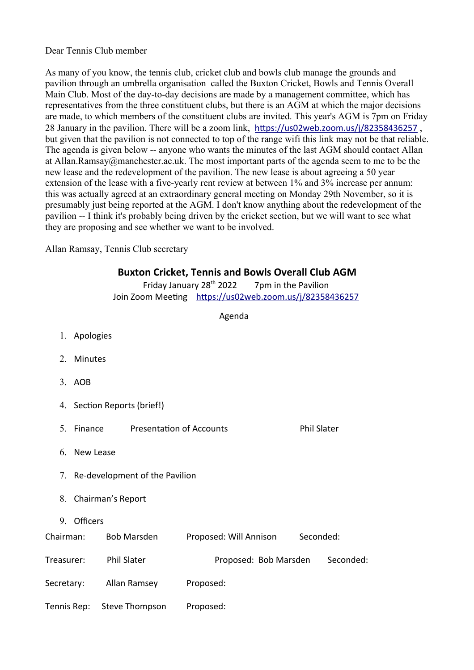## Dear Tennis Club member

As many of you know, the tennis club, cricket club and bowls club manage the grounds and pavilion through an umbrella organisation called the Buxton Cricket, Bowls and Tennis Overall Main Club. Most of the day-to-day decisions are made by a management committee, which has representatives from the three constituent clubs, but there is an AGM at which the major decisions are made, to which members of the constituent clubs are invited. This year's AGM is 7pm on Friday 28 January in the pavilion. There will be a zoom link, [htps://us02web.zoom.us/j/82358436257](https://us02web.zoom.us/j/82358436257) , but given that the pavilion is not connected to top of the range wifi this link may not be that reliable. The agenda is given below -- anyone who wants the minutes of the last AGM should contact Allan at Allan.Ramsay@manchester.ac.uk. The most important parts of the agenda seem to me to be the new lease and the redevelopment of the pavilion. The new lease is about agreeing a 50 year extension of the lease with a five-yearly rent review at between 1% and 3% increase per annum: this was actually agreed at an extraordinary general meeting on Monday 29th November, so it is presumably just being reported at the AGM. I don't know anything about the redevelopment of the pavilion -- I think it's probably being driven by the cricket section, but we will want to see what they are proposing and see whether we want to be involved.

Allan Ramsay, Tennis Club secretary

## **Buxton Cricket, Tennis and Bowls Overall Club AGM**

Friday January  $28<sup>th</sup>$  2022  $\overline{7}$  7pm in the Pavilion Join Zoom Meeting https://us02web.zoom.us/j/82358436257

Agenda

|            | 1. Apologies                                       |                            |                                  |  |  |  |  |
|------------|----------------------------------------------------|----------------------------|----------------------------------|--|--|--|--|
|            | 2. Minutes                                         |                            |                                  |  |  |  |  |
|            | 3. AOB                                             |                            |                                  |  |  |  |  |
|            | 4. Section Reports (brief!)                        |                            |                                  |  |  |  |  |
|            | 5. Finance Presentation of Accounts<br>Phil Slater |                            |                                  |  |  |  |  |
|            | 6. New Lease                                       |                            |                                  |  |  |  |  |
|            | 7. Re-development of the Pavilion                  |                            |                                  |  |  |  |  |
|            | 8. Chairman's Report                               |                            |                                  |  |  |  |  |
|            | 9. Officers                                        |                            |                                  |  |  |  |  |
|            |                                                    | Chairman: Bob Marsden      | Proposed: Will Annison Seconded: |  |  |  |  |
| Treasurer: |                                                    | Phil Slater                | Proposed: Bob Marsden Seconded:  |  |  |  |  |
|            |                                                    | Secretary: Allan Ramsey    | Proposed:                        |  |  |  |  |
|            |                                                    | Tennis Rep: Steve Thompson | Proposed:                        |  |  |  |  |